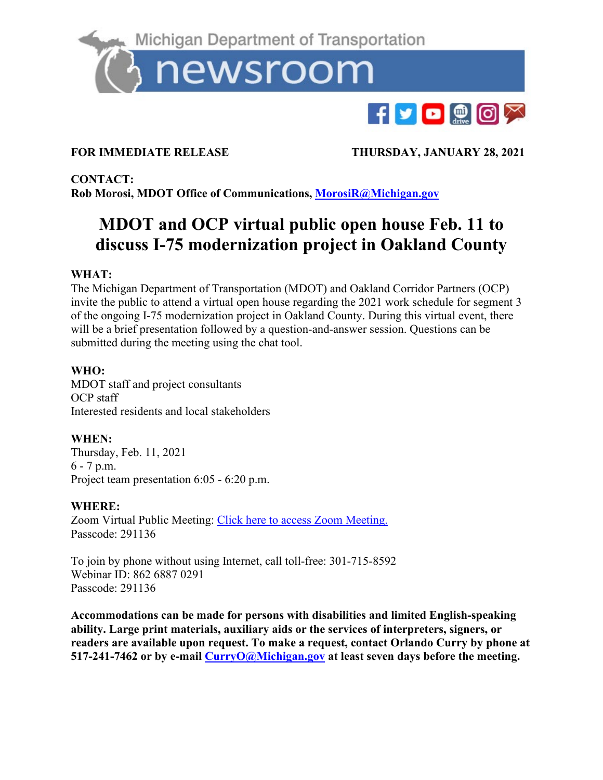

FOR IMMEDIATE RELEASE THURSDAY, JANUARY 28, 2021

**CONTACT: Rob Morosi, MDOT Office of Communications, [MorosiR@Michigan.gov](mailto:MorosiR@Michigan.gov)**

# **MDOT and OCP virtual public open house Feb. 11 to discuss I-75 modernization project in Oakland County**

## **WHAT:**

The Michigan Department of Transportation (MDOT) and Oakland Corridor Partners (OCP) invite the public to attend a virtual open house regarding the 2021 work schedule for segment 3 of the ongoing I-75 modernization project in Oakland County. During this virtual event, there will be a brief presentation followed by a question-and-answer session. Questions can be submitted during the meeting using the chat tool.

## **WHO:**

MDOT staff and project consultants OCP staff Interested residents and local stakeholders

# **WHEN:**

Thursday, Feb. 11, 2021 6 - 7 p.m. Project team presentation 6:05 - 6:20 p.m.

#### **WHERE:**

Zoom Virtual Public Meeting: [Click here to access Zoom Meeting.](https://us02web.zoom.us/j/86268870291?pwd=bEVpWnRsY2FlazBYUVBDZWxJN0ZmZz09) Passcode: 291136

To join by phone without using Internet, call toll-free: 301-715-8592 Webinar ID: 862 6887 0291 Passcode: 291136

**Accommodations can be made for persons with disabilities and limited English-speaking ability. Large print materials, auxiliary aids or the services of interpreters, signers, or readers are available upon request. To make a request, contact Orlando Curry by phone at 517-241-7462 or by e-mail [CurryO@Michigan.gov](mailto:CurryO@Michigan.gov) at least seven days before the meeting.**